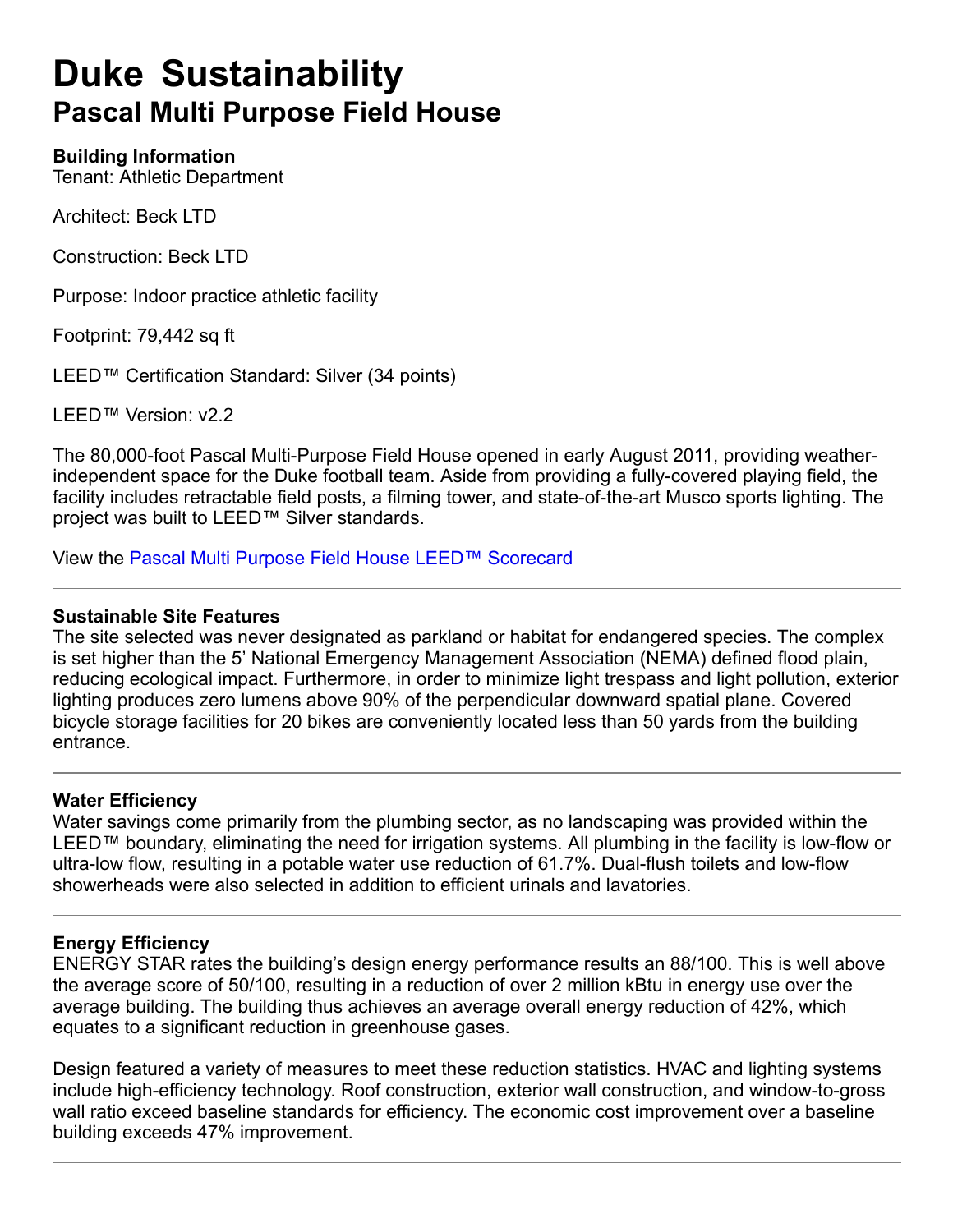# **Duke Sustainability Pascal Multi Purpose Field House**

#### **Building Information**

Tenant: Athletic Department

Architect: Beck LTD

Construction: Beck LTD

Purpose: Indoor practice athletic facility

Footprint: 79,442 sq ft

LEED™ Certification Standard: Silver (34 points)

LEED™ Version: v2.2

The 80,000-foot Pascal Multi-Purpose Field House opened in early August 2011, providing weatherindependent space for the Duke football team. Aside from providing a fully-covered playing field, the facility includes retractable field posts, a filming tower, and state-of-the-art Musco sports lighting. The project was built to LEED™ Silver standards.

View the Pascal Multi Purpose Field House LEED™ Scorecard

#### **Sustainable Site Features**

The site selected was never designated as parkland or habitat for endangered species. The complex is set higher than the 5' National Emergency Management Association (NEMA) defined flood plain, reducing ecological impact. Furthermore, in order to minimize light trespass and light pollution, exterior lighting produces zero lumens above 90% of the perpendicular downward spatial plane. Covered bicycle storage facilities for 20 bikes are conveniently located less than 50 yards from the building entrance.

#### **Water Efficiency**

Water savings come primarily from the plumbing sector, as no landscaping was provided within the LEED™ boundary, eliminating the need for irrigation systems. All plumbing in the facility is low-flow or ultra-low flow, resulting in a potable water use reduction of 61.7%. Dual-flush toilets and low-flow showerheads were also selected in addition to efficient urinals and lavatories.

### **Energy Efficiency**

ENERGY STAR rates the building's design energy performance results an 88/100. This is well above the average score of 50/100, resulting in a reduction of over 2 million kBtu in energy use over the average building. The building thus achieves an average overall energy reduction of 42%, which equates to a significant reduction in greenhouse gases.

Design featured a variety of measures to meet these reduction statistics. HVAC and lighting systems include high-efficiency technology. Roof construction, exterior wall construction, and window-to-gross wall ratio exceed baseline standards for efficiency. The economic cost improvement over a baseline building exceeds 47% improvement.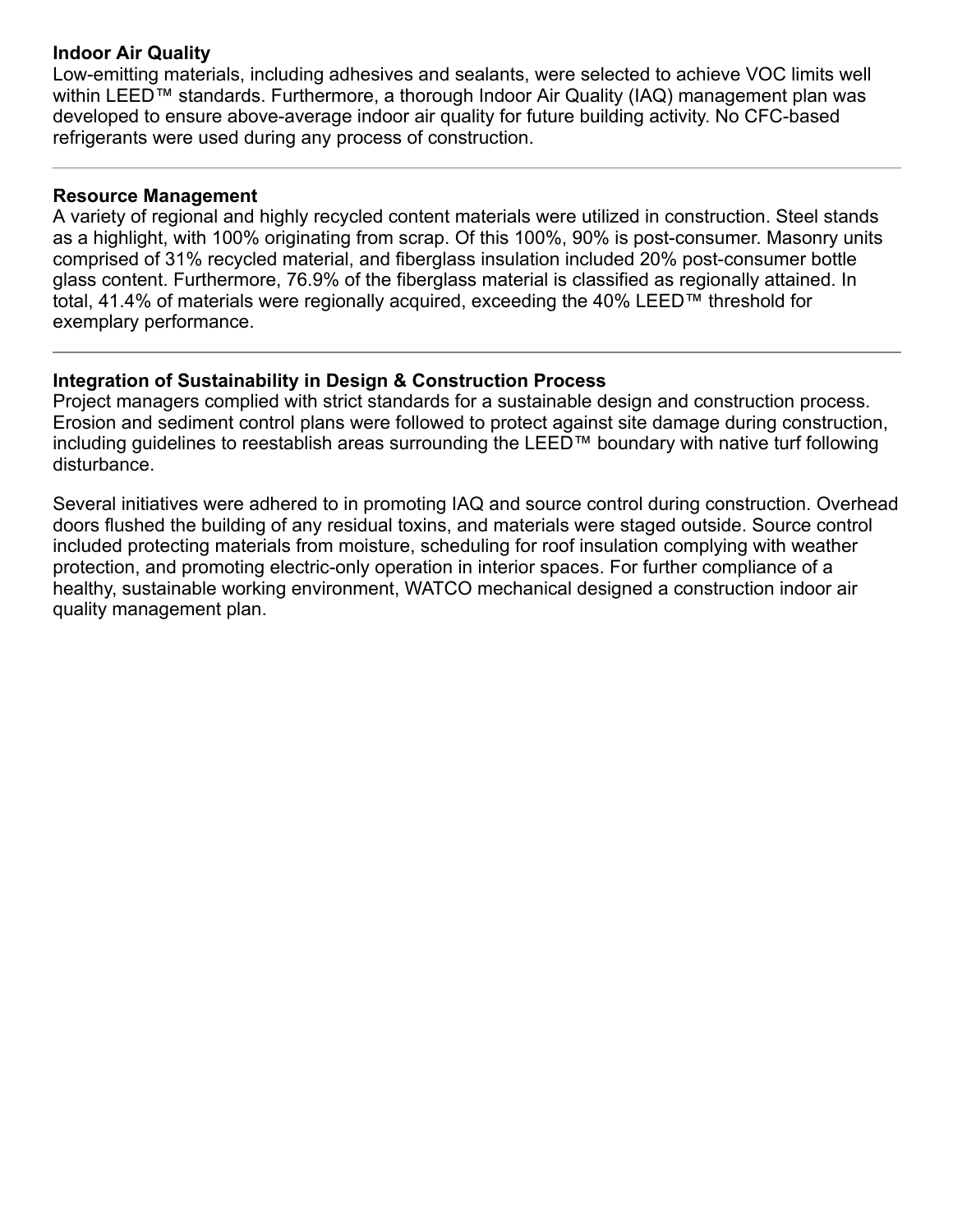#### **Indoor Air Quality**

Lowemitting materials, including adhesives and sealants, were selected to achieve VOC limits well within LEED™ standards. Furthermore, a thorough Indoor Air Quality (IAQ) management plan was developed to ensure above-average indoor air quality for future building activity. No CFC-based refrigerants were used during any process of construction.

### **Resource Management**

A variety of regional and highly recycled content materials were utilized in construction. Steel stands as a highlight, with 100% originating from scrap. Of this 100%, 90% is post-consumer. Masonry units comprised of 31% recycled material, and fiberglass insulation included 20% post-consumer bottle glass content. Furthermore, 76.9% of the fiberglass material is classified as regionally attained. In total, 41.4% of materials were regionally acquired, exceeding the 40% LEED™ threshold for exemplary performance.

## **Integration of Sustainability in Design & Construction Process**

Project managers complied with strict standards for a sustainable design and construction process. Erosion and sediment control plans were followed to protect against site damage during construction, including guidelines to reestablish areas surrounding the LEED™ boundary with native turf following disturbance.

Several initiatives were adhered to in promoting IAQ and source control during construction. Overhead doors flushed the building of any residual toxins, and materials were staged outside. Source control included protecting materials from moisture, scheduling for roof insulation complying with weather protection, and promoting electric-only operation in interior spaces. For further compliance of a healthy, sustainable working environment, WATCO mechanical designed a construction indoor air quality management plan.